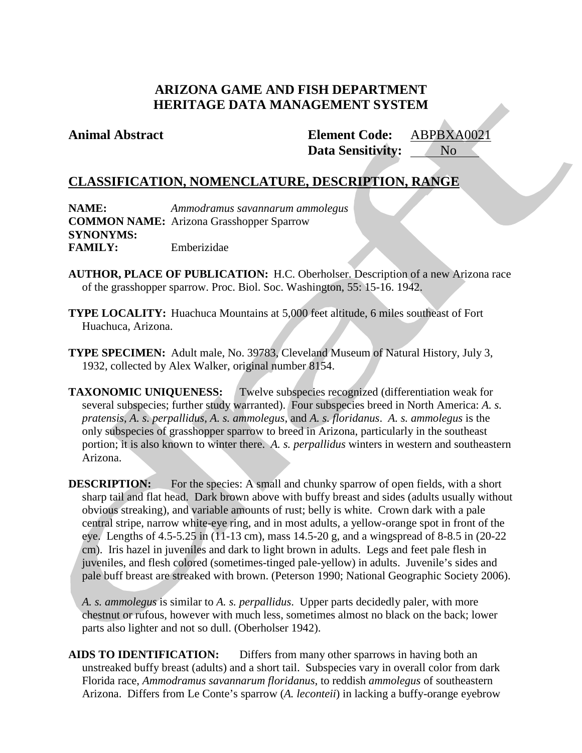## **ARIZONA GAME AND FISH DEPARTMENT HERITAGE DATA MANAGEMENT SYSTEM**

### **Animal Abstract Element Code:**

**Data Sensitivity:** ABPBXA0021 No

## **CLASSIFICATION, NOMENCLATURE, DESCRIPTION, RANGE**

**NAME:** *Ammodramus savannarum ammolegus* **COMMON NAME:** Arizona Grasshopper Sparrow **SYNONYMS: FAMILY:** Emberizidae

- **AUTHOR, PLACE OF PUBLICATION:** H.C. Oberholser. Description of a new Arizona race of the grasshopper sparrow. Proc. Biol. Soc. Washington, 55: 15-16. 1942.
- **TYPE LOCALITY:** Huachuca Mountains at 5,000 feet altitude, 6 miles southeast of Fort Huachuca, Arizona.
- **TYPE SPECIMEN:** Adult male, No. 39783, Cleveland Museum of Natural History, July 3, 1932, collected by Alex Walker, original number 8154.

**TAXONOMIC UNIQUENESS:** Twelve subspecies recognized (differentiation weak for several subspecies; further study warranted). Four subspecies breed in North America: *A. s. pratensis*, *A. s. perpallidus*, *A. s. ammolegus*, and *A. s. floridanus*. *A. s. ammolegus* is the only subspecies of grasshopper sparrow to breed in Arizona, particularly in the southeast portion; it is also known to winter there. *A. s. perpallidus* winters in western and southeastern Arizona.

**DESCRIPTION:** For the species: A small and chunky sparrow of open fields, with a short sharp tail and flat head. Dark brown above with buffy breast and sides (adults usually without obvious streaking), and variable amounts of rust; belly is white. Crown dark with a pale central stripe, narrow white-eye ring, and in most adults, a yellow-orange spot in front of the eye. Lengths of 4.5-5.25 in (11-13 cm), mass 14.5-20 g, and a wingspread of 8-8.5 in (20-22 cm). Iris hazel in juveniles and dark to light brown in adults. Legs and feet pale flesh in juveniles, and flesh colored (sometimes-tinged pale-yellow) in adults. Juvenile's sides and pale buff breast are streaked with brown. (Peterson 1990; National Geographic Society 2006).

*A. s. ammolegus* is similar to *A. s. perpallidus*. Upper parts decidedly paler, with more chestnut or rufous, however with much less, sometimes almost no black on the back; lower parts also lighter and not so dull. (Oberholser 1942).

**AIDS TO IDENTIFICATION:** Differs from many other sparrows in having both an unstreaked buffy breast (adults) and a short tail. Subspecies vary in overall color from dark Florida race, *Ammodramus savannarum floridanus*, to reddish *ammolegus* of southeastern Arizona. Differs from Le Conte's sparrow (*A. leconteii*) in lacking a buffy-orange eyebrow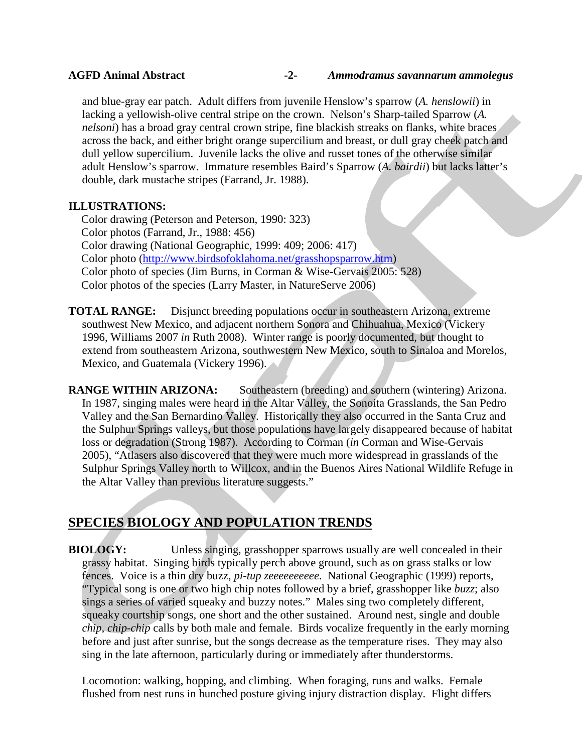and blue-gray ear patch. Adult differs from juvenile Henslow's sparrow (*A. henslowii*) in lacking a yellowish-olive central stripe on the crown. Nelson's Sharp-tailed Sparrow (*A. nelsoni*) has a broad gray central crown stripe, fine blackish streaks on flanks, white braces across the back, and either bright orange supercilium and breast, or dull gray cheek patch and dull yellow supercilium. Juvenile lacks the olive and russet tones of the otherwise similar adult Henslow's sparrow. Immature resembles Baird's Sparrow (*A. bairdii*) but lacks latter's double, dark mustache stripes (Farrand, Jr. 1988).

## **ILLUSTRATIONS:**

Color drawing (Peterson and Peterson, 1990: 323) Color photos (Farrand, Jr., 1988: 456) Color drawing (National Geographic, 1999: 409; 2006: 417) Color photo [\(http://www.birdsofoklahoma.net/grasshopsparrow.htm\)](http://www.birdsofoklahoma.net/grasshopsparrow.htm) Color photo of species (Jim Burns, in Corman & Wise-Gervais 2005: 528) Color photos of the species (Larry Master, in NatureServe 2006)

**TOTAL RANGE:** Disjunct breeding populations occur in southeastern Arizona, extreme southwest New Mexico, and adjacent northern Sonora and Chihuahua, Mexico (Vickery 1996, Williams 2007 *in* Ruth 2008). Winter range is poorly documented, but thought to extend from southeastern Arizona, southwestern New Mexico, south to Sinaloa and Morelos, Mexico, and Guatemala (Vickery 1996).

**RANGE WITHIN ARIZONA:** Southeastern (breeding) and southern (wintering) Arizona. In 1987, singing males were heard in the Altar Valley, the Sonoita Grasslands, the San Pedro Valley and the San Bernardino Valley. Historically they also occurred in the Santa Cruz and the Sulphur Springs valleys, but those populations have largely disappeared because of habitat loss or degradation (Strong 1987). According to Corman (*in* Corman and Wise-Gervais 2005), "Atlasers also discovered that they were much more widespread in grasslands of the Sulphur Springs Valley north to Willcox, and in the Buenos Aires National Wildlife Refuge in the Altar Valley than previous literature suggests."

# **SPECIES BIOLOGY AND POPULATION TRENDS**

**BIOLOGY:** Unless singing, grasshopper sparrows usually are well concealed in their grassy habitat. Singing birds typically perch above ground, such as on grass stalks or low fences. Voice is a thin dry buzz, *pi-tup zeeeeeeeeee*. National Geographic (1999) reports, "Typical song is one or two high chip notes followed by a brief, grasshopper like *buzz*; also sings a series of varied squeaky and buzzy notes." Males sing two completely different, squeaky courtship songs, one short and the other sustained. Around nest, single and double *chip*, *chip-chip* calls by both male and female. Birds vocalize frequently in the early morning before and just after sunrise, but the songs decrease as the temperature rises. They may also sing in the late afternoon, particularly during or immediately after thunderstorms.

Locomotion: walking, hopping, and climbing. When foraging, runs and walks. Female flushed from nest runs in hunched posture giving injury distraction display. Flight differs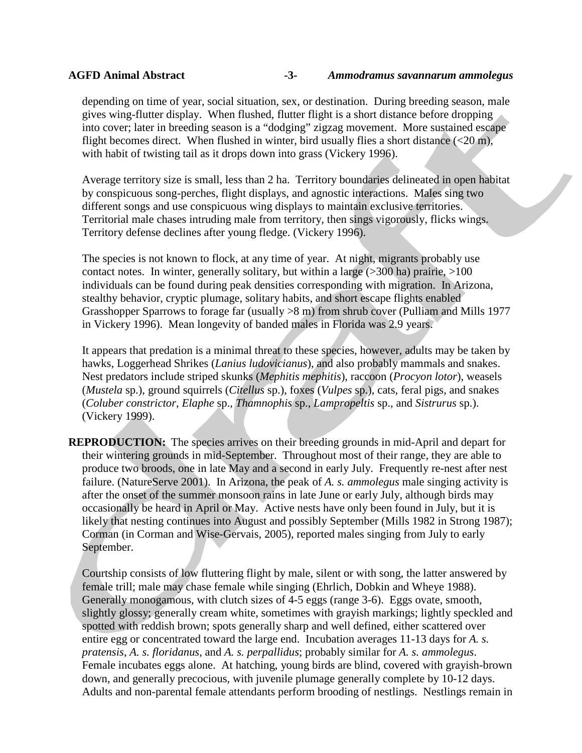depending on time of year, social situation, sex, or destination. During breeding season, male gives wing-flutter display. When flushed, flutter flight is a short distance before dropping into cover; later in breeding season is a "dodging" zigzag movement. More sustained escape flight becomes direct. When flushed in winter, bird usually flies a short distance  $\left($  <20 m), with habit of twisting tail as it drops down into grass (Vickery 1996).

Average territory size is small, less than 2 ha. Territory boundaries delineated in open habitat by conspicuous song-perches, flight displays, and agnostic interactions. Males sing two different songs and use conspicuous wing displays to maintain exclusive territories. Territorial male chases intruding male from territory, then sings vigorously, flicks wings. Territory defense declines after young fledge. (Vickery 1996).

The species is not known to flock, at any time of year. At night, migrants probably use contact notes. In winter, generally solitary, but within a large  $(>300$  ha) prairie,  $>100$ individuals can be found during peak densities corresponding with migration. In Arizona, stealthy behavior, cryptic plumage, solitary habits, and short escape flights enabled Grasshopper Sparrows to forage far (usually >8 m) from shrub cover (Pulliam and Mills 1977 in Vickery 1996). Mean longevity of banded males in Florida was 2.9 years.

It appears that predation is a minimal threat to these species, however, adults may be taken by hawks, Loggerhead Shrikes (*Lanius ludovicianus*), and also probably mammals and snakes. Nest predators include striped skunks (*Mephitis mephitis*), raccoon (*Procyon lotor*), weasels (*Mustela* sp.), ground squirrels (*Citellus* sp.), foxes (*Vulpes* sp.), cats, feral pigs, and snakes (*Coluber constrictor*, *Elaphe* sp., *Thamnophis* sp., *Lampropeltis* sp., and *Sistrurus* sp.). (Vickery 1999).

**REPRODUCTION:** The species arrives on their breeding grounds in mid-April and depart for their wintering grounds in mid-September. Throughout most of their range, they are able to produce two broods, one in late May and a second in early July. Frequently re-nest after nest failure. (NatureServe 2001). In Arizona, the peak of *A. s. ammolegus* male singing activity is after the onset of the summer monsoon rains in late June or early July, although birds may occasionally be heard in April or May. Active nests have only been found in July, but it is likely that nesting continues into August and possibly September (Mills 1982 in Strong 1987); Corman (in Corman and Wise-Gervais, 2005), reported males singing from July to early September.

Courtship consists of low fluttering flight by male, silent or with song, the latter answered by female trill; male may chase female while singing (Ehrlich, Dobkin and Wheye 1988). Generally monogamous, with clutch sizes of 4-5 eggs (range 3-6). Eggs ovate, smooth, slightly glossy; generally cream white, sometimes with grayish markings; lightly speckled and spotted with reddish brown; spots generally sharp and well defined, either scattered over entire egg or concentrated toward the large end. Incubation averages 11-13 days for *A. s. pratensis*, *A. s. floridanus*, and *A. s. perpallidus*; probably similar for *A. s. ammolegus*. Female incubates eggs alone. At hatching, young birds are blind, covered with grayish-brown down, and generally precocious, with juvenile plumage generally complete by 10-12 days. Adults and non-parental female attendants perform brooding of nestlings. Nestlings remain in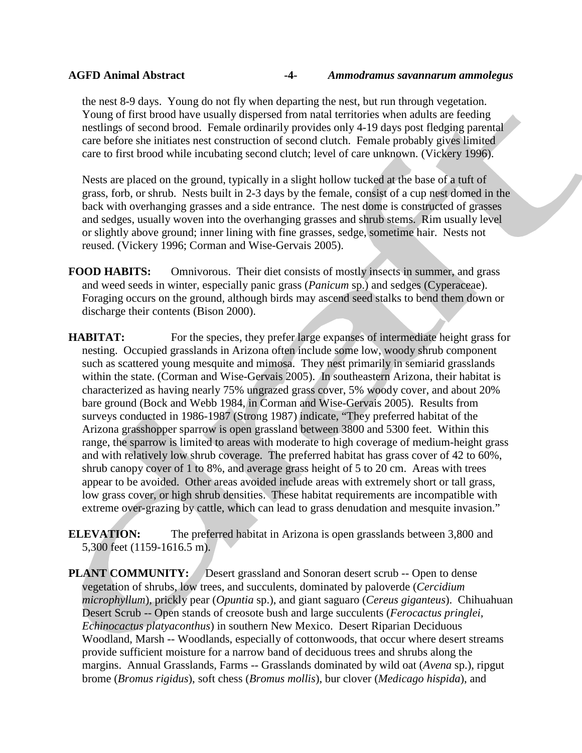the nest 8-9 days. Young do not fly when departing the nest, but run through vegetation. Young of first brood have usually dispersed from natal territories when adults are feeding nestlings of second brood. Female ordinarily provides only 4-19 days post fledging parental care before she initiates nest construction of second clutch. Female probably gives limited care to first brood while incubating second clutch; level of care unknown. (Vickery 1996).

Nests are placed on the ground, typically in a slight hollow tucked at the base of a tuft of grass, forb, or shrub. Nests built in 2-3 days by the female, consist of a cup nest domed in the back with overhanging grasses and a side entrance. The nest dome is constructed of grasses and sedges, usually woven into the overhanging grasses and shrub stems. Rim usually level or slightly above ground; inner lining with fine grasses, sedge, sometime hair. Nests not reused. (Vickery 1996; Corman and Wise-Gervais 2005).

**FOOD HABITS:** Omnivorous. Their diet consists of mostly insects in summer, and grass and weed seeds in winter, especially panic grass (*Panicum* sp.) and sedges (Cyperaceae). Foraging occurs on the ground, although birds may ascend seed stalks to bend them down or discharge their contents (Bison 2000).

**HABITAT:** For the species, they prefer large expanses of intermediate height grass for nesting. Occupied grasslands in Arizona often include some low, woody shrub component such as scattered young mesquite and mimosa. They nest primarily in semiarid grasslands within the state. (Corman and Wise-Gervais 2005). In southeastern Arizona, their habitat is characterized as having nearly 75% ungrazed grass cover, 5% woody cover, and about 20% bare ground (Bock and Webb 1984, in Corman and Wise-Gervais 2005). Results from surveys conducted in 1986-1987 (Strong 1987) indicate, "They preferred habitat of the Arizona grasshopper sparrow is open grassland between 3800 and 5300 feet. Within this range, the sparrow is limited to areas with moderate to high coverage of medium-height grass and with relatively low shrub coverage. The preferred habitat has grass cover of 42 to 60%, shrub canopy cover of 1 to 8%, and average grass height of 5 to 20 cm. Areas with trees appear to be avoided. Other areas avoided include areas with extremely short or tall grass, low grass cover, or high shrub densities. These habitat requirements are incompatible with extreme over-grazing by cattle, which can lead to grass denudation and mesquite invasion."

**ELEVATION:** The preferred habitat in Arizona is open grasslands between 3,800 and 5,300 feet (1159-1616.5 m).

**PLANT COMMUNITY:** Desert grassland and Sonoran desert scrub -- Open to dense vegetation of shrubs, low trees, and succulents, dominated by paloverde (*Cercidium microphyllum*), prickly pear (*Opuntia* sp.), and giant saguaro (*Cereus giganteus*). Chihuahuan Desert Scrub -- Open stands of creosote bush and large succulents (*Ferocactus pringlei, Echinocactus platyaconthus*) in southern New Mexico. Desert Riparian Deciduous Woodland, Marsh -- Woodlands, especially of cottonwoods, that occur where desert streams provide sufficient moisture for a narrow band of deciduous trees and shrubs along the margins. Annual Grasslands, Farms -- Grasslands dominated by wild oat (*Avena* sp.), ripgut brome (*Bromus rigidus*), soft chess (*Bromus mollis*), bur clover (*Medicago hispida*), and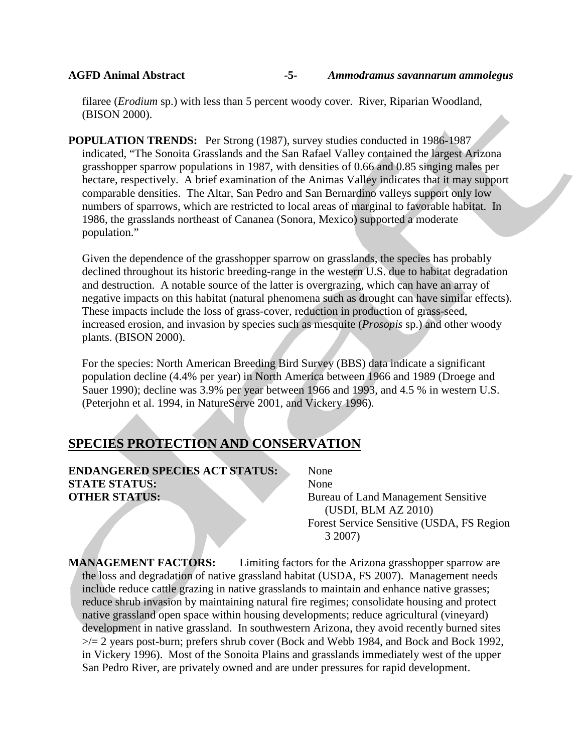filaree (*Erodium* sp.) with less than 5 percent woody cover. River, Riparian Woodland, (BISON 2000).

**POPULATION TRENDS:** Per Strong (1987), survey studies conducted in 1986-1987 indicated, "The Sonoita Grasslands and the San Rafael Valley contained the largest Arizona grasshopper sparrow populations in 1987, with densities of 0.66 and 0.85 singing males per hectare, respectively. A brief examination of the Animas Valley indicates that it may support comparable densities. The Altar, San Pedro and San Bernardino valleys support only low numbers of sparrows, which are restricted to local areas of marginal to favorable habitat. In 1986, the grasslands northeast of Cananea (Sonora, Mexico) supported a moderate population."

Given the dependence of the grasshopper sparrow on grasslands, the species has probably declined throughout its historic breeding-range in the western U.S. due to habitat degradation and destruction. A notable source of the latter is overgrazing, which can have an array of negative impacts on this habitat (natural phenomena such as drought can have similar effects). These impacts include the loss of grass-cover, reduction in production of grass-seed, increased erosion, and invasion by species such as mesquite (*Prosopis* sp.) and other woody plants. (BISON 2000).

For the species: North American Breeding Bird Survey (BBS) data indicate a significant population decline (4.4% per year) in North America between 1966 and 1989 (Droege and Sauer 1990); decline was 3.9% per year between 1966 and 1993, and 4.5 % in western U.S. (Peterjohn et al. 1994, in NatureServe 2001, and Vickery 1996).

## **SPECIES PROTECTION AND CONSERVATION**

**ENDANGERED SPECIES ACT STATUS:** None **STATE STATUS:** None **OTHER STATUS:** Bureau of Land Management Sensitive

(USDI, BLM AZ 2010) Forest Service Sensitive (USDA, FS Region 3 2007)

**MANAGEMENT FACTORS:** Limiting factors for the Arizona grasshopper sparrow are the loss and degradation of native grassland habitat (USDA, FS 2007). Management needs include reduce cattle grazing in native grasslands to maintain and enhance native grasses; reduce shrub invasion by maintaining natural fire regimes; consolidate housing and protect native grassland open space within housing developments; reduce agricultural (vineyard) development in native grassland. In southwestern Arizona, they avoid recently burned sites  $\ge$ /= 2 years post-burn; prefers shrub cover (Bock and Webb 1984, and Bock and Bock 1992, in Vickery 1996). Most of the Sonoita Plains and grasslands immediately west of the upper San Pedro River, are privately owned and are under pressures for rapid development.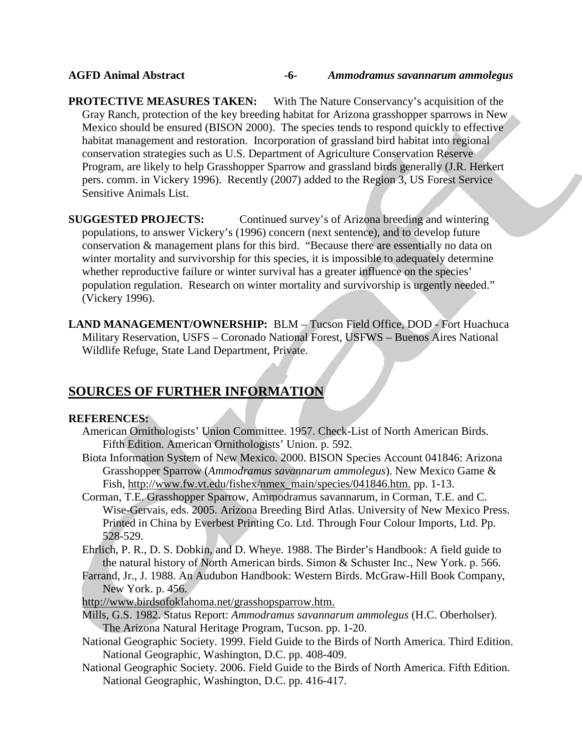**PROTECTIVE MEASURES TAKEN:** With The Nature Conservancy's acquisition of the Gray Ranch, protection of the key breeding habitat for Arizona grasshopper sparrows in New Mexico should be ensured (BISON 2000). The species tends to respond quickly to effective habitat management and restoration. Incorporation of grassland bird habitat into regional conservation strategies such as U.S. Department of Agriculture Conservation Reserve Program, are likely to help Grasshopper Sparrow and grassland birds generally (J.R. Herkert pers. comm. in Vickery 1996). Recently (2007) added to the Region 3, US Forest Service Sensitive Animals List.

**SUGGESTED PROJECTS:** Continued survey's of Arizona breeding and wintering populations, to answer Vickery's (1996) concern (next sentence), and to develop future conservation & management plans for this bird. "Because there are essentially no data on winter mortality and survivorship for this species, it is impossible to adequately determine whether reproductive failure or winter survival has a greater influence on the species' population regulation. Research on winter mortality and survivorship is urgently needed." (Vickery 1996).

**LAND MANAGEMENT/OWNERSHIP:** BLM – Tucson Field Office, DOD - Fort Huachuca Military Reservation, USFS – Coronado National Forest, USFWS – Buenos Aires National Wildlife Refuge, State Land Department, Private.

## **SOURCES OF FURTHER INFORMATION**

### **REFERENCES:**

- American Ornithologists' Union Committee. 1957. Check-List of North American Birds. Fifth Edition. American Ornithologists' Union. p. 592.
- Biota Information System of New Mexico. 2000. BISON Species Account 041846: Arizona Grasshopper Sparrow (*Ammodramus savannarum ammolegus*). New Mexico Game & Fish, [http://www.fw.vt.edu/fishex/nmex\\_main/species/041846.htm.](http://www.fw.vt.edu/fishex/nmex_main/species/041846.htm.) pp. 1-13.
- Corman, T.E. Grasshopper Sparrow, Ammodramus savannarum, in Corman, T.E. and C. Wise-Gervais, eds. 2005. Arizona Breeding Bird Atlas. University of New Mexico Press. Printed in China by Everbest Printing Co. Ltd. Through Four Colour Imports, Ltd. Pp. 528-529.
- Ehrlich, P. R., D. S. Dobkin, and D. Wheye. 1988. The Birder's Handbook: A field guide to the natural history of North American birds. Simon & Schuster Inc., New York. p. 566.
- Farrand, Jr., J. 1988. An Audubon Handbook: Western Birds. McGraw-Hill Book Company, New York. p. 456.
- <http://www.birdsofoklahoma.net/grasshopsparrow.htm.>
- Mills, G.S. 1982. Status Report: *Ammodramus savannarum ammolegus* (H.C. Oberholser). The Arizona Natural Heritage Program, Tucson. pp. 1-20.
- National Geographic Society. 1999. Field Guide to the Birds of North America. Third Edition. National Geographic, Washington, D.C. pp. 408-409.
- National Geographic Society. 2006. Field Guide to the Birds of North America. Fifth Edition. National Geographic, Washington, D.C. pp. 416-417.